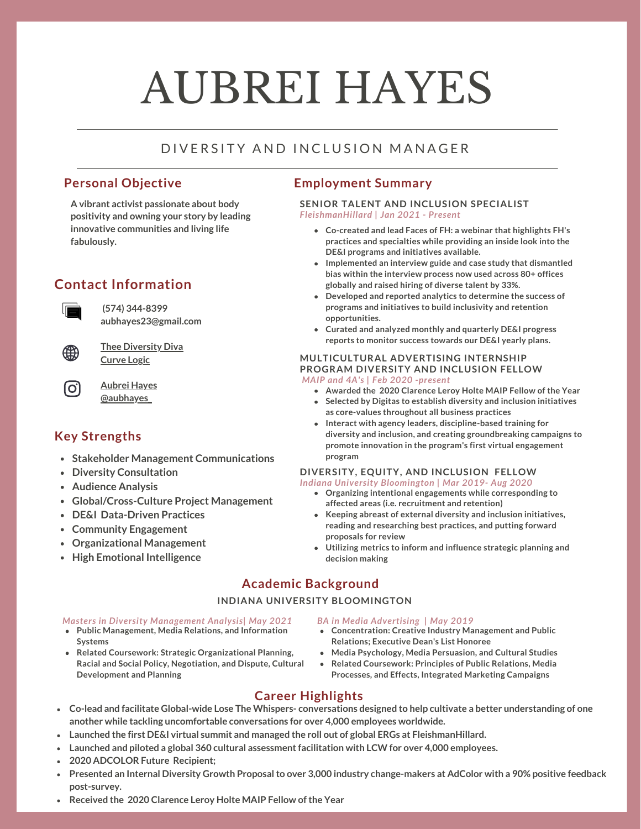# AUBREI HAYES

# D I V E R SI T Y A N D I N CLUSION MANAGER

## **Personal Objective**

**A vibrant activist passionate about body positivity and owning your story by leading innovative communities and living life fabulously.**

# **Contact Information**



**(574) 344-8399 aubhayes23@gmail.com**



[O]

**Thee [Diversity](https://www.theediversitydiva.com/) Diva [Curve](https://www.youtube.com/channel/UC_hupEJWDYnCD8FptnXwu4A?view_as=subscriber) Logic**

**[Aubrei](https://www.linkedin.com/in/aubrei-hayes-087348135/) Hayes [@aubhayes\\_](https://www.instagram.com/aubhayes_/)**

# **Key Strengths**

- **Stakeholder Management Communications**
- **Diversity Consultation**
- **Audience Analysis**
- **Global/Cross-Culture Project Management**
- **DE&I Data-Driven Practices**
- **Community Engagement**
- **Organizational Management**
- **High Emotional Intelligence**

## **Employment Summary**

#### *FleishmanHillard | Jan 2021 - Present* **SENIOR TALENT AND INCLUSION SPECIALIST**

- **Co-created and lead Faces of FH: a webinar that highlights FH's practices and specialties while providing an inside look into the DE&I programs and initiatives available.**
- **Implemented an interview guide and case study that dismantled bias within the interview process now used across 80+ offices globally and raised hiring of diverse talent by 33%.**
- **Developed and reported analytics to determine the success of programs and initiatives to build inclusivity and retention opportunities.**
- **Curated and analyzed monthly and quarterly DE&I progress reports to monitor success towards our DE&I yearly plans.**

#### **MULTICULTURAL ADVERTISING INTERNSHIP PROGRAM DIVERSITY AND INCLUSION FELLOW** *MAIP and 4A's | Feb 2020 -present*

- **Awarded the 2020 Clarence Leroy Holte MAIP Fellow of the Year**
- **Selected by Digitas to establish diversity and inclusion initiatives as core-values throughout all business practices**
- **Interact with agency leaders, discipline-based training for diversity and inclusion, and creating groundbreaking campaigns to promote innovation in the program's first virtual engagement program**

#### **DIVERSITY, EQUITY, AND INCLUSION FELLOW** *Indiana University Bloomington | Mar 2019- Aug 2020*

- **Organizing intentional engagements while corresponding to affected areas (i.e. recruitment and retention)**
- **Keeping abreast of external diversity and inclusion initiatives, reading and researching best practices, and putting forward proposals for review**
- **Utilizing metrics to inform and influence strategic planning and decision making**

# **Academic Background**

### **INDIANA UNIVERSITY BLOOMINGTON**

### *Masters in Diversity Management Analysis| May 2021*

- **Public Management, Media Relations, and Information Systems**
- **Related Coursework: Strategic Organizational Planning, Racial and Social Policy, Negotiation, and Dispute, Cultural Development and Planning**
- *BA in Media Advertising | May 2019*
- **Concentration: Creative Industry Management and Public Relations; Executive Dean's List Honoree**
- **Media Psychology, Media Persuasion, and Cultural Studies**
- **Related Coursework: Principles of Public Relations, Media**  $\bullet$ **Processes, and Effects, Integrated Marketing Campaigns**

# **Career Highlights**

- Co-lead and facilitate Global-wide Lose The Whispers-conversations designed to help cultivate a better understanding of one **another while tackling uncomfortable conversations for over 4,000 employees worldwide.**
- **Launched the first DE&I virtual summit and managed the roll out of global ERGs at FleishmanHillard.**
- **Launched and piloted a global 360 cultural assessmentfacilitation with LCW for over 4,000 employees.**
- **2020 ADCOLOR Future Recipient;**
- Presented an Internal Diversity Growth Proposal to over 3,000 industry change-makers at AdColor with a 90% positive feedback **post-survey.**
- **Received the 2020 Clarence Leroy Holte MAIP Fellow ofthe Year**